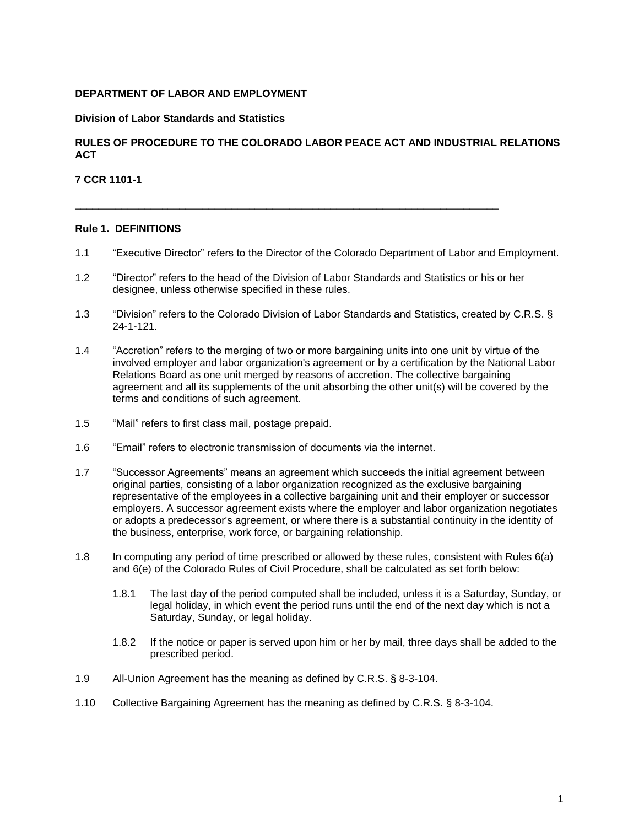#### **DEPARTMENT OF LABOR AND EMPLOYMENT**

#### **Division of Labor Standards and Statistics**

#### **RULES OF PROCEDURE TO THE COLORADO LABOR PEACE ACT AND INDUSTRIAL RELATIONS ACT**

#### **7 CCR 1101-1**

#### **Rule 1. DEFINITIONS**

- 1.1 "Executive Director" refers to the Director of the Colorado Department of Labor and Employment.
- 1.2 "Director" refers to the head of the Division of Labor Standards and Statistics or his or her designee, unless otherwise specified in these rules.

 $\overline{\phantom{a}}$  ,  $\overline{\phantom{a}}$  ,  $\overline{\phantom{a}}$  ,  $\overline{\phantom{a}}$  ,  $\overline{\phantom{a}}$  ,  $\overline{\phantom{a}}$  ,  $\overline{\phantom{a}}$  ,  $\overline{\phantom{a}}$  ,  $\overline{\phantom{a}}$  ,  $\overline{\phantom{a}}$  ,  $\overline{\phantom{a}}$  ,  $\overline{\phantom{a}}$  ,  $\overline{\phantom{a}}$  ,  $\overline{\phantom{a}}$  ,  $\overline{\phantom{a}}$  ,  $\overline{\phantom{a}}$ 

- 1.3 "Division" refers to the Colorado Division of Labor Standards and Statistics, created by C.R.S. § 24-1-121.
- 1.4 "Accretion" refers to the merging of two or more bargaining units into one unit by virtue of the involved employer and labor organization's agreement or by a certification by the National Labor Relations Board as one unit merged by reasons of accretion. The collective bargaining agreement and all its supplements of the unit absorbing the other unit(s) will be covered by the terms and conditions of such agreement.
- 1.5 "Mail" refers to first class mail, postage prepaid.
- 1.6 "Email" refers to electronic transmission of documents via the internet.
- 1.7 "Successor Agreements" means an agreement which succeeds the initial agreement between original parties, consisting of a labor organization recognized as the exclusive bargaining representative of the employees in a collective bargaining unit and their employer or successor employers. A successor agreement exists where the employer and labor organization negotiates or adopts a predecessor's agreement, or where there is a substantial continuity in the identity of the business, enterprise, work force, or bargaining relationship.
- 1.8 In computing any period of time prescribed or allowed by these rules, consistent with Rules 6(a) and 6(e) of the Colorado Rules of Civil Procedure, shall be calculated as set forth below:
	- 1.8.1 The last day of the period computed shall be included, unless it is a Saturday, Sunday, or legal holiday, in which event the period runs until the end of the next day which is not a Saturday, Sunday, or legal holiday.
	- 1.8.2 If the notice or paper is served upon him or her by mail, three days shall be added to the prescribed period.
- 1.9 All-Union Agreement has the meaning as defined by C.R.S. § 8-3-104.
- 1.10 Collective Bargaining Agreement has the meaning as defined by C.R.S. § 8-3-104.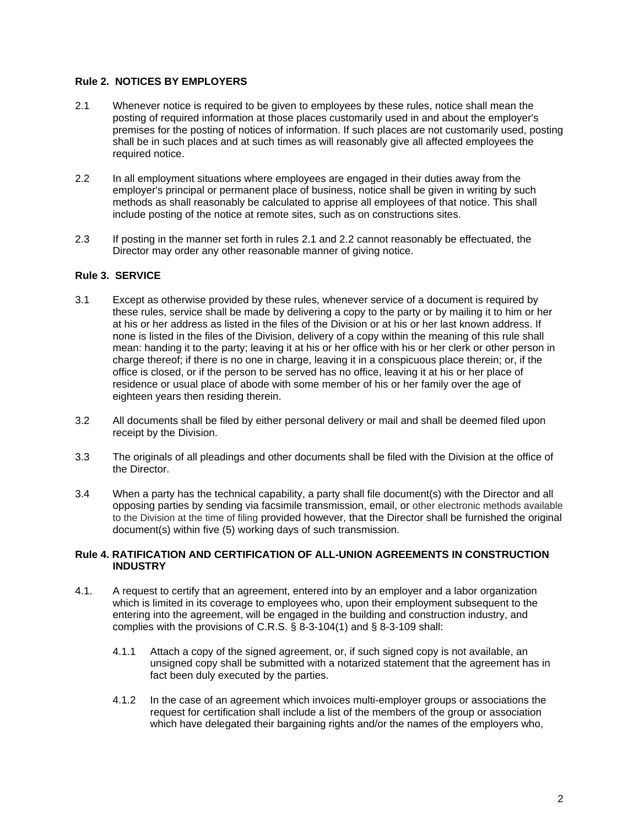## **Rule 2. NOTICES BY EMPLOYERS**

- 2.1 Whenever notice is required to be given to employees by these rules, notice shall mean the posting of required information at those places customarily used in and about the employer's premises for the posting of notices of information. If such places are not customarily used, posting shall be in such places and at such times as will reasonably give all affected employees the required notice.
- 2.2 In all employment situations where employees are engaged in their duties away from the employer's principal or permanent place of business, notice shall be given in writing by such methods as shall reasonably be calculated to apprise all employees of that notice. This shall include posting of the notice at remote sites, such as on constructions sites.
- 2.3 If posting in the manner set forth in rules 2.1 and 2.2 cannot reasonably be effectuated, the Director may order any other reasonable manner of giving notice.

## **Rule 3. SERVICE**

- 3.1 Except as otherwise provided by these rules, whenever service of a document is required by these rules, service shall be made by delivering a copy to the party or by mailing it to him or her at his or her address as listed in the files of the Division or at his or her last known address. If none is listed in the files of the Division, delivery of a copy within the meaning of this rule shall mean: handing it to the party; leaving it at his or her office with his or her clerk or other person in charge thereof; if there is no one in charge, leaving it in a conspicuous place therein; or, if the office is closed, or if the person to be served has no office, leaving it at his or her place of residence or usual place of abode with some member of his or her family over the age of eighteen years then residing therein.
- 3.2 All documents shall be filed by either personal delivery or mail and shall be deemed filed upon receipt by the Division.
- 3.3 The originals of all pleadings and other documents shall be filed with the Division at the office of the Director.
- 3.4 When a party has the technical capability, a party shall file document(s) with the Director and all opposing parties by sending via facsimile transmission, email, or other electronic methods available to the Division at the time of filing provided however, that the Director shall be furnished the original document(s) within five (5) working days of such transmission.

#### **Rule 4. RATIFICATION AND CERTIFICATION OF ALL-UNION AGREEMENTS IN CONSTRUCTION INDUSTRY**

- 4.1. A request to certify that an agreement, entered into by an employer and a labor organization which is limited in its coverage to employees who, upon their employment subsequent to the entering into the agreement, will be engaged in the building and construction industry, and complies with the provisions of C.R.S. § 8-3-104(1) and § 8-3-109 shall:
	- 4.1.1 Attach a copy of the signed agreement, or, if such signed copy is not available, an unsigned copy shall be submitted with a notarized statement that the agreement has in fact been duly executed by the parties.
	- 4.1.2 In the case of an agreement which invoices multi-employer groups or associations the request for certification shall include a list of the members of the group or association which have delegated their bargaining rights and/or the names of the employers who,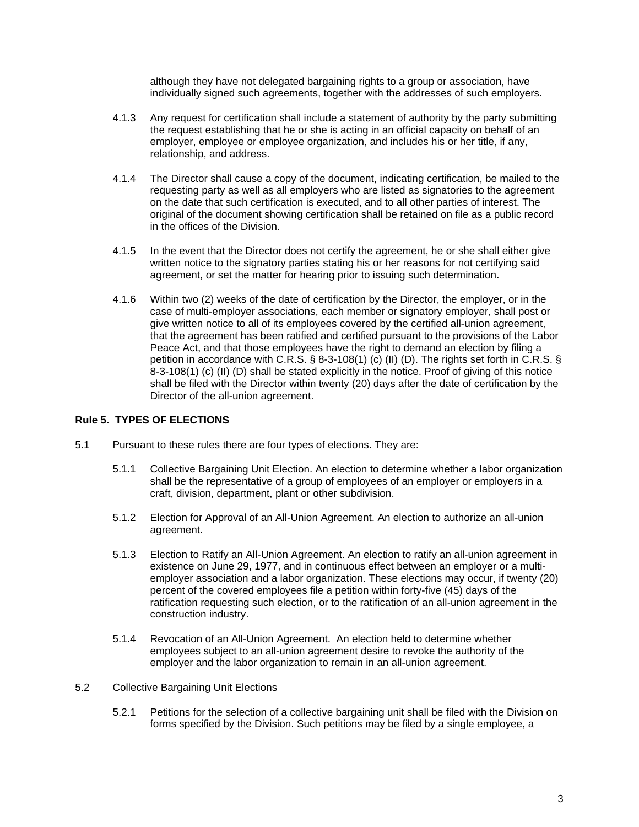although they have not delegated bargaining rights to a group or association, have individually signed such agreements, together with the addresses of such employers.

- 4.1.3 Any request for certification shall include a statement of authority by the party submitting the request establishing that he or she is acting in an official capacity on behalf of an employer, employee or employee organization, and includes his or her title, if any, relationship, and address.
- 4.1.4 The Director shall cause a copy of the document, indicating certification, be mailed to the requesting party as well as all employers who are listed as signatories to the agreement on the date that such certification is executed, and to all other parties of interest. The original of the document showing certification shall be retained on file as a public record in the offices of the Division.
- 4.1.5 In the event that the Director does not certify the agreement, he or she shall either give written notice to the signatory parties stating his or her reasons for not certifying said agreement, or set the matter for hearing prior to issuing such determination.
- 4.1.6 Within two (2) weeks of the date of certification by the Director, the employer, or in the case of multi-employer associations, each member or signatory employer, shall post or give written notice to all of its employees covered by the certified all-union agreement, that the agreement has been ratified and certified pursuant to the provisions of the Labor Peace Act, and that those employees have the right to demand an election by filing a petition in accordance with C.R.S. § 8-3-108(1) (c) (II) (D). The rights set forth in C.R.S. § 8-3-108(1) (c) (II) (D) shall be stated explicitly in the notice. Proof of giving of this notice shall be filed with the Director within twenty (20) days after the date of certification by the Director of the all-union agreement.

## **Rule 5. TYPES OF ELECTIONS**

- 5.1 Pursuant to these rules there are four types of elections. They are:
	- 5.1.1Collective Bargaining Unit Election. An election to determine whether a labor organization shall be the representative of a group of employees of an employer or employers in a craft, division, department, plant or other subdivision.
	- 5.1.2 Election for Approval of an All-Union Agreement. An election to authorize an all-union agreement.
	- 5.1.3 Election to Ratify an All-Union Agreement. An election to ratify an all-union agreement in existence on June 29, 1977, and in continuous effect between an employer or a multiemployer association and a labor organization. These elections may occur, if twenty (20) percent of the covered employees file a petition within forty-five (45) days of the ratification requesting such election, or to the ratification of an all-union agreement in the construction industry.
	- 5.1.4 Revocation of an All-Union Agreement. An election held to determine whether employees subject to an all-union agreement desire to revoke the authority of the employer and the labor organization to remain in an all-union agreement.
- 5.2 Collective Bargaining Unit Elections
	- 5.2.1 Petitions for the selection of a collective bargaining unit shall be filed with the Division on forms specified by the Division. Such petitions may be filed by a single employee, a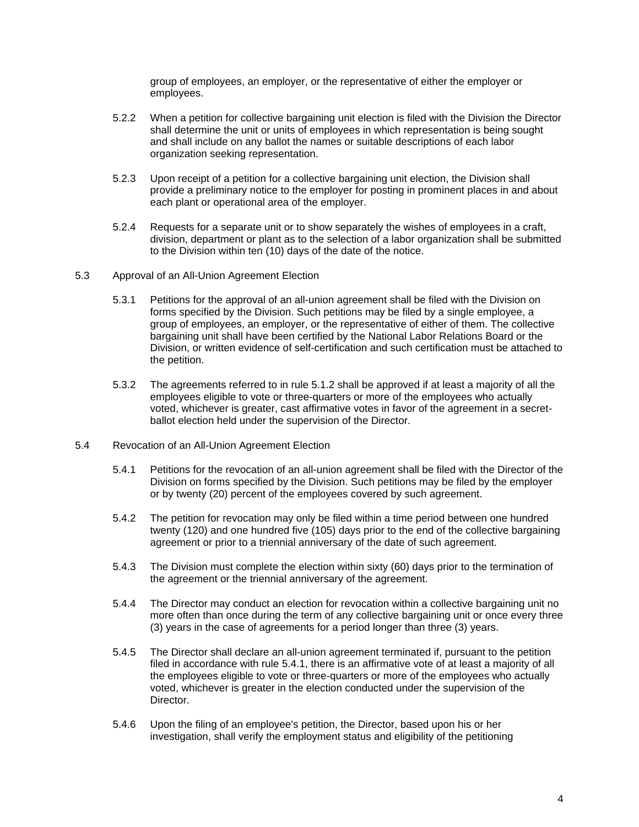group of employees, an employer, or the representative of either the employer or employees.

- 5.2.2 When a petition for collective bargaining unit election is filed with the Division the Director shall determine the unit or units of employees in which representation is being sought and shall include on any ballot the names or suitable descriptions of each labor organization seeking representation.
- 5.2.3 Upon receipt of a petition for a collective bargaining unit election, the Division shall provide a preliminary notice to the employer for posting in prominent places in and about each plant or operational area of the employer.
- 5.2.4 Requests for a separate unit or to show separately the wishes of employees in a craft, division, department or plant as to the selection of a labor organization shall be submitted to the Division within ten (10) days of the date of the notice.
- 5.3 Approval of an All-Union Agreement Election
	- 5.3.1 Petitions for the approval of an all-union agreement shall be filed with the Division on forms specified by the Division. Such petitions may be filed by a single employee, a group of employees, an employer, or the representative of either of them. The collective bargaining unit shall have been certified by the National Labor Relations Board or the Division, or written evidence of self-certification and such certification must be attached to the petition.
	- 5.3.2 The agreements referred to in rule 5.1.2 shall be approved if at least a majority of all the employees eligible to vote or three-quarters or more of the employees who actually voted, whichever is greater, cast affirmative votes in favor of the agreement in a secretballot election held under the supervision of the Director.
- 5.4 Revocation of an All-Union Agreement Election
	- 5.4.1 Petitions for the revocation of an all-union agreement shall be filed with the Director of the Division on forms specified by the Division. Such petitions may be filed by the employer or by twenty (20) percent of the employees covered by such agreement.
	- 5.4.2 The petition for revocation may only be filed within a time period between one hundred twenty (120) and one hundred five (105) days prior to the end of the collective bargaining agreement or prior to a triennial anniversary of the date of such agreement.
	- 5.4.3 The Division must complete the election within sixty (60) days prior to the termination of the agreement or the triennial anniversary of the agreement.
	- 5.4.4 The Director may conduct an election for revocation within a collective bargaining unit no more often than once during the term of any collective bargaining unit or once every three (3) years in the case of agreements for a period longer than three (3) years.
	- 5.4.5 The Director shall declare an all-union agreement terminated if, pursuant to the petition filed in accordance with rule 5.4.1, there is an affirmative vote of at least a majority of all the employees eligible to vote or three-quarters or more of the employees who actually voted, whichever is greater in the election conducted under the supervision of the Director.
	- 5.4.6 Upon the filing of an employee's petition, the Director, based upon his or her investigation, shall verify the employment status and eligibility of the petitioning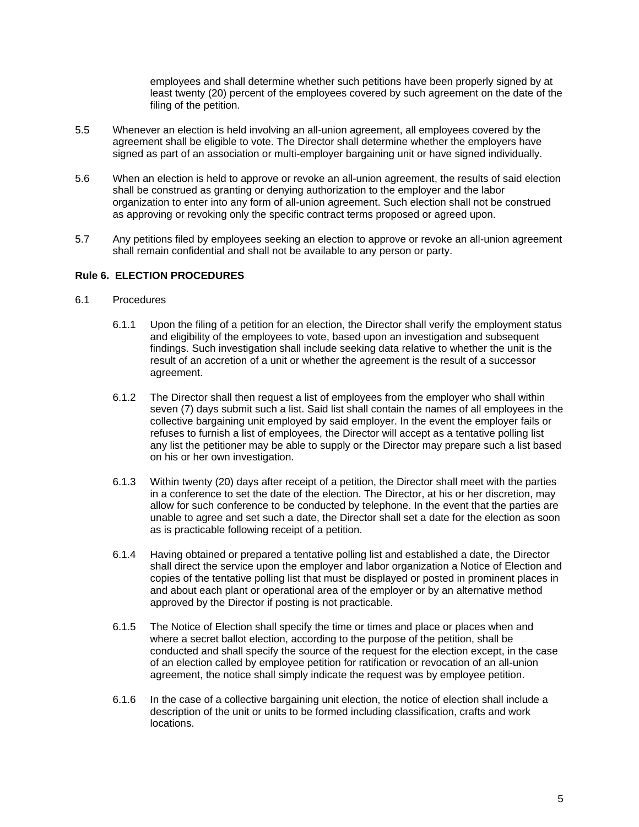employees and shall determine whether such petitions have been properly signed by at least twenty (20) percent of the employees covered by such agreement on the date of the filing of the petition.

- 5.5 Whenever an election is held involving an all-union agreement, all employees covered by the agreement shall be eligible to vote. The Director shall determine whether the employers have signed as part of an association or multi-employer bargaining unit or have signed individually.
- 5.6 When an election is held to approve or revoke an all-union agreement, the results of said election shall be construed as granting or denying authorization to the employer and the labor organization to enter into any form of all-union agreement. Such election shall not be construed as approving or revoking only the specific contract terms proposed or agreed upon.
- 5.7 Any petitions filed by employees seeking an election to approve or revoke an all-union agreement shall remain confidential and shall not be available to any person or party.

## **Rule 6. ELECTION PROCEDURES**

#### 6.1 Procedures

- 6.1.1 Upon the filing of a petition for an election, the Director shall verify the employment status and eligibility of the employees to vote, based upon an investigation and subsequent findings. Such investigation shall include seeking data relative to whether the unit is the result of an accretion of a unit or whether the agreement is the result of a successor agreement.
- 6.1.2 The Director shall then request a list of employees from the employer who shall within seven (7) days submit such a list. Said list shall contain the names of all employees in the collective bargaining unit employed by said employer. In the event the employer fails or refuses to furnish a list of employees, the Director will accept as a tentative polling list any list the petitioner may be able to supply or the Director may prepare such a list based on his or her own investigation.
- 6.1.3 Within twenty (20) days after receipt of a petition, the Director shall meet with the parties in a conference to set the date of the election. The Director, at his or her discretion, may allow for such conference to be conducted by telephone. In the event that the parties are unable to agree and set such a date, the Director shall set a date for the election as soon as is practicable following receipt of a petition.
- 6.1.4 Having obtained or prepared a tentative polling list and established a date, the Director shall direct the service upon the employer and labor organization a Notice of Election and copies of the tentative polling list that must be displayed or posted in prominent places in and about each plant or operational area of the employer or by an alternative method approved by the Director if posting is not practicable.
- 6.1.5 The Notice of Election shall specify the time or times and place or places when and where a secret ballot election, according to the purpose of the petition, shall be conducted and shall specify the source of the request for the election except, in the case of an election called by employee petition for ratification or revocation of an all-union agreement, the notice shall simply indicate the request was by employee petition.
- 6.1.6 In the case of a collective bargaining unit election, the notice of election shall include a description of the unit or units to be formed including classification, crafts and work locations.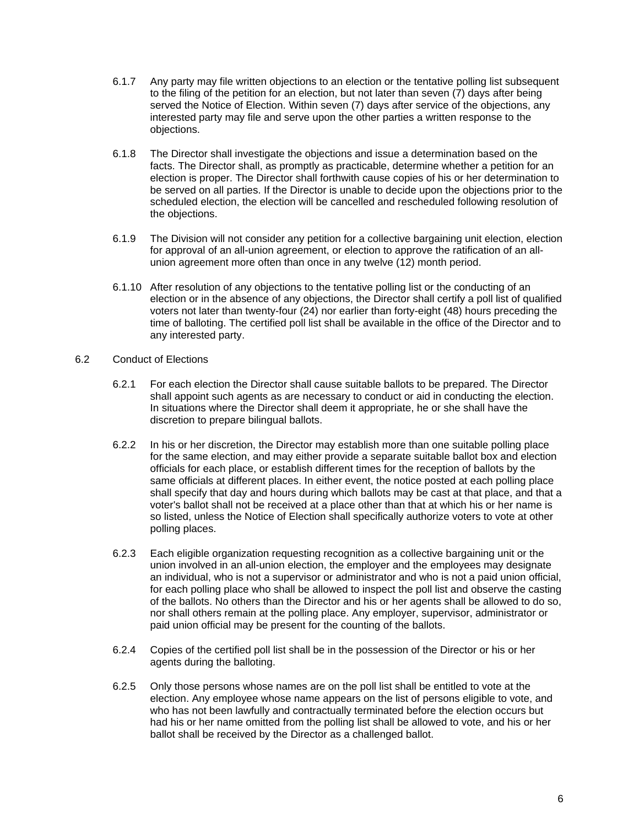- 6.1.7 Any party may file written objections to an election or the tentative polling list subsequent to the filing of the petition for an election, but not later than seven (7) days after being served the Notice of Election. Within seven (7) days after service of the objections, any interested party may file and serve upon the other parties a written response to the objections.
- 6.1.8 The Director shall investigate the objections and issue a determination based on the facts. The Director shall, as promptly as practicable, determine whether a petition for an election is proper. The Director shall forthwith cause copies of his or her determination to be served on all parties. If the Director is unable to decide upon the objections prior to the scheduled election, the election will be cancelled and rescheduled following resolution of the objections.
- 6.1.9 The Division will not consider any petition for a collective bargaining unit election, election for approval of an all-union agreement, or election to approve the ratification of an allunion agreement more often than once in any twelve (12) month period.
- 6.1.10 After resolution of any objections to the tentative polling list or the conducting of an election or in the absence of any objections, the Director shall certify a poll list of qualified voters not later than twenty-four (24) nor earlier than forty-eight (48) hours preceding the time of balloting. The certified poll list shall be available in the office of the Director and to any interested party.
- 6.2 Conduct of Elections
	- 6.2.1 For each election the Director shall cause suitable ballots to be prepared. The Director shall appoint such agents as are necessary to conduct or aid in conducting the election. In situations where the Director shall deem it appropriate, he or she shall have the discretion to prepare bilingual ballots.
	- 6.2.2 In his or her discretion, the Director may establish more than one suitable polling place for the same election, and may either provide a separate suitable ballot box and election officials for each place, or establish different times for the reception of ballots by the same officials at different places. In either event, the notice posted at each polling place shall specify that day and hours during which ballots may be cast at that place, and that a voter's ballot shall not be received at a place other than that at which his or her name is so listed, unless the Notice of Election shall specifically authorize voters to vote at other polling places.
	- 6.2.3 Each eligible organization requesting recognition as a collective bargaining unit or the union involved in an all-union election, the employer and the employees may designate an individual, who is not a supervisor or administrator and who is not a paid union official, for each polling place who shall be allowed to inspect the poll list and observe the casting of the ballots. No others than the Director and his or her agents shall be allowed to do so, nor shall others remain at the polling place. Any employer, supervisor, administrator or paid union official may be present for the counting of the ballots.
	- 6.2.4 Copies of the certified poll list shall be in the possession of the Director or his or her agents during the balloting.
	- 6.2.5 Only those persons whose names are on the poll list shall be entitled to vote at the election. Any employee whose name appears on the list of persons eligible to vote, and who has not been lawfully and contractually terminated before the election occurs but had his or her name omitted from the polling list shall be allowed to vote, and his or her ballot shall be received by the Director as a challenged ballot.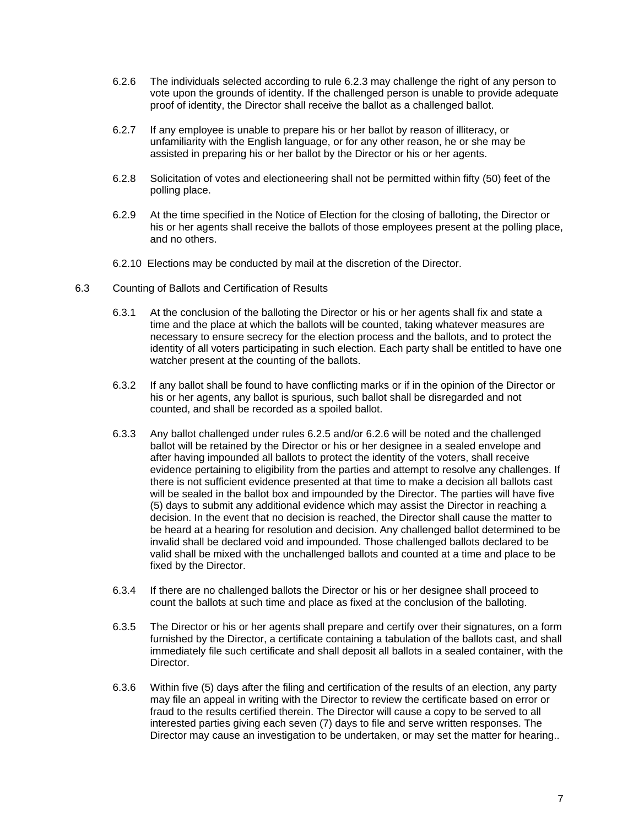- 6.2.6 The individuals selected according to rule 6.2.3 may challenge the right of any person to vote upon the grounds of identity. If the challenged person is unable to provide adequate proof of identity, the Director shall receive the ballot as a challenged ballot.
- 6.2.7 If any employee is unable to prepare his or her ballot by reason of illiteracy, or unfamiliarity with the English language, or for any other reason, he or she may be assisted in preparing his or her ballot by the Director or his or her agents.
- 6.2.8 Solicitation of votes and electioneering shall not be permitted within fifty (50) feet of the polling place.
- 6.2.9 At the time specified in the Notice of Election for the closing of balloting, the Director or his or her agents shall receive the ballots of those employees present at the polling place, and no others.
- 6.2.10 Elections may be conducted by mail at the discretion of the Director.
- 6.3 Counting of Ballots and Certification of Results
	- 6.3.1 At the conclusion of the balloting the Director or his or her agents shall fix and state a time and the place at which the ballots will be counted, taking whatever measures are necessary to ensure secrecy for the election process and the ballots, and to protect the identity of all voters participating in such election. Each party shall be entitled to have one watcher present at the counting of the ballots.
	- 6.3.2 If any ballot shall be found to have conflicting marks or if in the opinion of the Director or his or her agents, any ballot is spurious, such ballot shall be disregarded and not counted, and shall be recorded as a spoiled ballot.
	- 6.3.3 Any ballot challenged under rules 6.2.5 and/or 6.2.6 will be noted and the challenged ballot will be retained by the Director or his or her designee in a sealed envelope and after having impounded all ballots to protect the identity of the voters, shall receive evidence pertaining to eligibility from the parties and attempt to resolve any challenges. If there is not sufficient evidence presented at that time to make a decision all ballots cast will be sealed in the ballot box and impounded by the Director. The parties will have five (5) days to submit any additional evidence which may assist the Director in reaching a decision. In the event that no decision is reached, the Director shall cause the matter to be heard at a hearing for resolution and decision. Any challenged ballot determined to be invalid shall be declared void and impounded. Those challenged ballots declared to be valid shall be mixed with the unchallenged ballots and counted at a time and place to be fixed by the Director.
	- 6.3.4 If there are no challenged ballots the Director or his or her designee shall proceed to count the ballots at such time and place as fixed at the conclusion of the balloting.
	- 6.3.5 The Director or his or her agents shall prepare and certify over their signatures, on a form furnished by the Director, a certificate containing a tabulation of the ballots cast, and shall immediately file such certificate and shall deposit all ballots in a sealed container, with the Director.
	- 6.3.6 Within five (5) days after the filing and certification of the results of an election, any party may file an appeal in writing with the Director to review the certificate based on error or fraud to the results certified therein. The Director will cause a copy to be served to all interested parties giving each seven (7) days to file and serve written responses. The Director may cause an investigation to be undertaken, or may set the matter for hearing..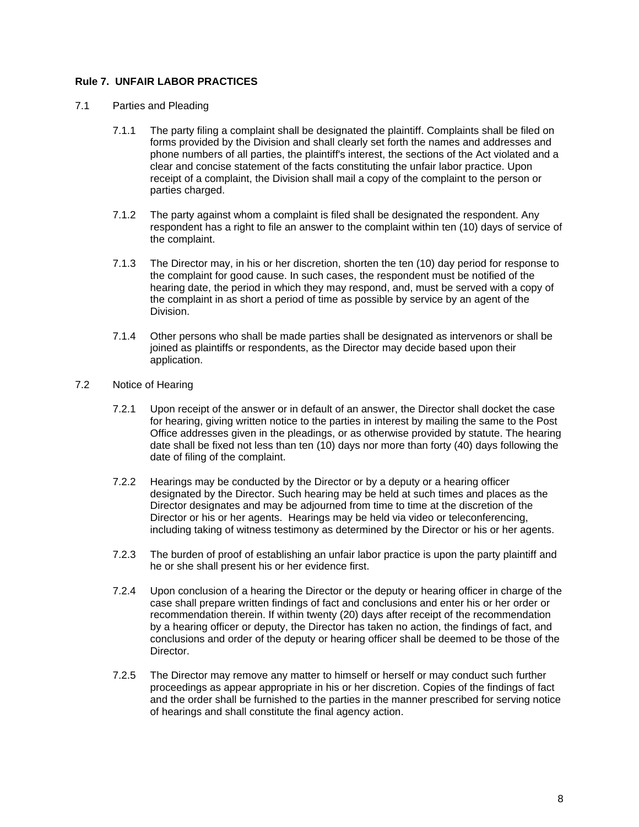# **Rule 7. UNFAIR LABOR PRACTICES**

- 7.1 Parties and Pleading
	- 7.1.1 The party filing a complaint shall be designated the plaintiff. Complaints shall be filed on forms provided by the Division and shall clearly set forth the names and addresses and phone numbers of all parties, the plaintiff's interest, the sections of the Act violated and a clear and concise statement of the facts constituting the unfair labor practice. Upon receipt of a complaint, the Division shall mail a copy of the complaint to the person or parties charged.
	- 7.1.2 The party against whom a complaint is filed shall be designated the respondent. Any respondent has a right to file an answer to the complaint within ten (10) days of service of the complaint.
	- 7.1.3 The Director may, in his or her discretion, shorten the ten (10) day period for response to the complaint for good cause. In such cases, the respondent must be notified of the hearing date, the period in which they may respond, and, must be served with a copy of the complaint in as short a period of time as possible by service by an agent of the Division.
	- 7.1.4 Other persons who shall be made parties shall be designated as intervenors or shall be joined as plaintiffs or respondents, as the Director may decide based upon their application.
- 7.2 Notice of Hearing
	- 7.2.1 Upon receipt of the answer or in default of an answer, the Director shall docket the case for hearing, giving written notice to the parties in interest by mailing the same to the Post Office addresses given in the pleadings, or as otherwise provided by statute. The hearing date shall be fixed not less than ten (10) days nor more than forty (40) days following the date of filing of the complaint.
	- 7.2.2 Hearings may be conducted by the Director or by a deputy or a hearing officer designated by the Director. Such hearing may be held at such times and places as the Director designates and may be adjourned from time to time at the discretion of the Director or his or her agents. Hearings may be held via video or teleconferencing, including taking of witness testimony as determined by the Director or his or her agents.
	- 7.2.3 The burden of proof of establishing an unfair labor practice is upon the party plaintiff and he or she shall present his or her evidence first.
	- 7.2.4 Upon conclusion of a hearing the Director or the deputy or hearing officer in charge of the case shall prepare written findings of fact and conclusions and enter his or her order or recommendation therein. If within twenty (20) days after receipt of the recommendation by a hearing officer or deputy, the Director has taken no action, the findings of fact, and conclusions and order of the deputy or hearing officer shall be deemed to be those of the Director.
	- 7.2.5 The Director may remove any matter to himself or herself or may conduct such further proceedings as appear appropriate in his or her discretion. Copies of the findings of fact and the order shall be furnished to the parties in the manner prescribed for serving notice of hearings and shall constitute the final agency action.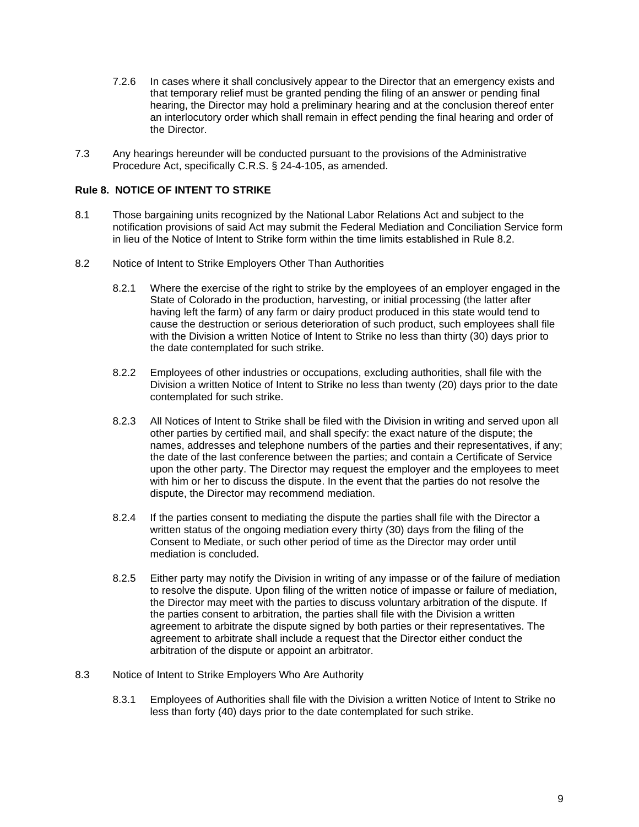- 7.2.6 In cases where it shall conclusively appear to the Director that an emergency exists and that temporary relief must be granted pending the filing of an answer or pending final hearing, the Director may hold a preliminary hearing and at the conclusion thereof enter an interlocutory order which shall remain in effect pending the final hearing and order of the Director.
- 7.3 Any hearings hereunder will be conducted pursuant to the provisions of the Administrative Procedure Act, specifically C.R.S. § 24-4-105, as amended.

#### **Rule 8. NOTICE OF INTENT TO STRIKE**

- 8.1 Those bargaining units recognized by the National Labor Relations Act and subject to the notification provisions of said Act may submit the Federal Mediation and Conciliation Service form in lieu of the Notice of Intent to Strike form within the time limits established in Rule 8.2.
- 8.2 Notice of Intent to Strike Employers Other Than Authorities
	- 8.2.1 Where the exercise of the right to strike by the employees of an employer engaged in the State of Colorado in the production, harvesting, or initial processing (the latter after having left the farm) of any farm or dairy product produced in this state would tend to cause the destruction or serious deterioration of such product, such employees shall file with the Division a written Notice of Intent to Strike no less than thirty (30) days prior to the date contemplated for such strike.
	- 8.2.2 Employees of other industries or occupations, excluding authorities, shall file with the Division a written Notice of Intent to Strike no less than twenty (20) days prior to the date contemplated for such strike.
	- 8.2.3 All Notices of Intent to Strike shall be filed with the Division in writing and served upon all other parties by certified mail, and shall specify: the exact nature of the dispute; the names, addresses and telephone numbers of the parties and their representatives, if any; the date of the last conference between the parties; and contain a Certificate of Service upon the other party. The Director may request the employer and the employees to meet with him or her to discuss the dispute. In the event that the parties do not resolve the dispute, the Director may recommend mediation.
	- 8.2.4 If the parties consent to mediating the dispute the parties shall file with the Director a written status of the ongoing mediation every thirty (30) days from the filing of the Consent to Mediate, or such other period of time as the Director may order until mediation is concluded.
	- 8.2.5 Either party may notify the Division in writing of any impasse or of the failure of mediation to resolve the dispute. Upon filing of the written notice of impasse or failure of mediation, the Director may meet with the parties to discuss voluntary arbitration of the dispute. If the parties consent to arbitration, the parties shall file with the Division a written agreement to arbitrate the dispute signed by both parties or their representatives. The agreement to arbitrate shall include a request that the Director either conduct the arbitration of the dispute or appoint an arbitrator.
- 8.3 Notice of Intent to Strike Employers Who Are Authority
	- 8.3.1 Employees of Authorities shall file with the Division a written Notice of Intent to Strike no less than forty (40) days prior to the date contemplated for such strike.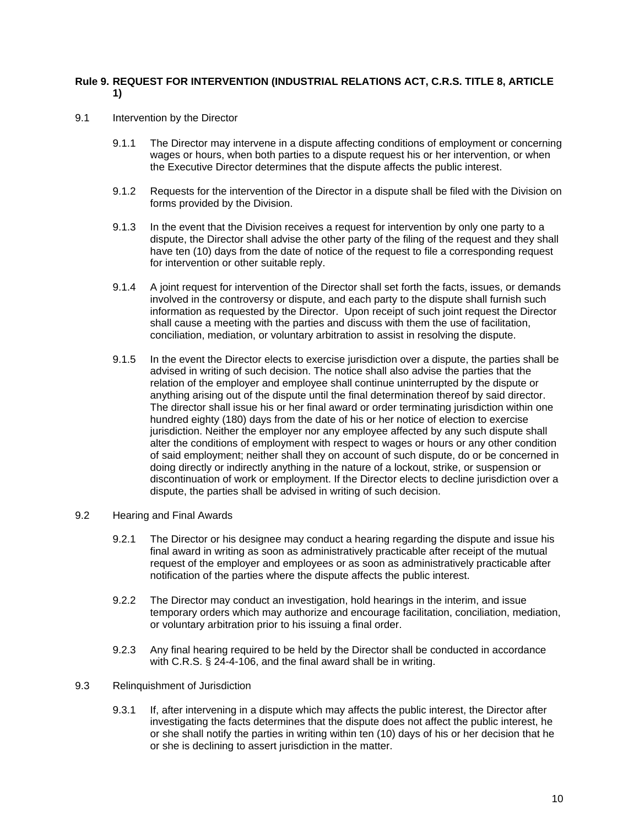## **Rule 9. REQUEST FOR INTERVENTION (INDUSTRIAL RELATIONS ACT, C.R.S. TITLE 8, ARTICLE 1)**

- 9.1 Intervention by the Director
	- 9.1.1 The Director may intervene in a dispute affecting conditions of employment or concerning wages or hours, when both parties to a dispute request his or her intervention, or when the Executive Director determines that the dispute affects the public interest.
	- 9.1.2 Requests for the intervention of the Director in a dispute shall be filed with the Division on forms provided by the Division.
	- 9.1.3 In the event that the Division receives a request for intervention by only one party to a dispute, the Director shall advise the other party of the filing of the request and they shall have ten (10) days from the date of notice of the request to file a corresponding request for intervention or other suitable reply.
	- 9.1.4 A joint request for intervention of the Director shall set forth the facts, issues, or demands involved in the controversy or dispute, and each party to the dispute shall furnish such information as requested by the Director. Upon receipt of such joint request the Director shall cause a meeting with the parties and discuss with them the use of facilitation, conciliation, mediation, or voluntary arbitration to assist in resolving the dispute.
	- 9.1.5 In the event the Director elects to exercise jurisdiction over a dispute, the parties shall be advised in writing of such decision. The notice shall also advise the parties that the relation of the employer and employee shall continue uninterrupted by the dispute or anything arising out of the dispute until the final determination thereof by said director. The director shall issue his or her final award or order terminating jurisdiction within one hundred eighty (180) days from the date of his or her notice of election to exercise jurisdiction. Neither the employer nor any employee affected by any such dispute shall alter the conditions of employment with respect to wages or hours or any other condition of said employment; neither shall they on account of such dispute, do or be concerned in doing directly or indirectly anything in the nature of a lockout, strike, or suspension or discontinuation of work or employment. If the Director elects to decline jurisdiction over a dispute, the parties shall be advised in writing of such decision.
- 9.2 Hearing and Final Awards
	- 9.2.1 The Director or his designee may conduct a hearing regarding the dispute and issue his final award in writing as soon as administratively practicable after receipt of the mutual request of the employer and employees or as soon as administratively practicable after notification of the parties where the dispute affects the public interest.
	- 9.2.2 The Director may conduct an investigation, hold hearings in the interim, and issue temporary orders which may authorize and encourage facilitation, conciliation, mediation, or voluntary arbitration prior to his issuing a final order.
	- 9.2.3 Any final hearing required to be held by the Director shall be conducted in accordance with C.R.S. § 24-4-106, and the final award shall be in writing.
- 9.3 Relinquishment of Jurisdiction
	- 9.3.1 If, after intervening in a dispute which may affects the public interest, the Director after investigating the facts determines that the dispute does not affect the public interest, he or she shall notify the parties in writing within ten (10) days of his or her decision that he or she is declining to assert jurisdiction in the matter.